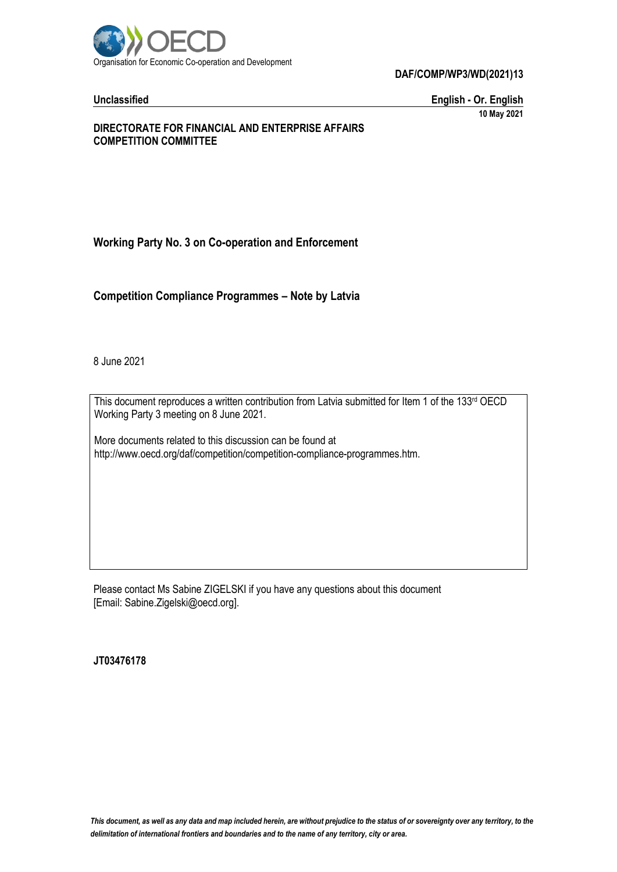

**DAF/COMP/WP3/WD(2021)13**

**Unclassified English - Or. English 10 May 2021**

#### **DIRECTORATE FOR FINANCIAL AND ENTERPRISE AFFAIRS COMPETITION COMMITTEE**

## **Working Party No. 3 on Co-operation and Enforcement**

**Competition Compliance Programmes – Note by Latvia**

8 June 2021

This document reproduces a written contribution from Latvia submitted for Item 1 of the 133rd OECD Working Party 3 meeting on 8 June 2021.

More documents related to this discussion can be found at http://www.oecd.org/daf/competition/competition-compliance-programmes.htm.

Please contact Ms Sabine ZIGELSKI if you have any questions about this document [Email: Sabine.Zigelski@oecd.org].

**JT03476178**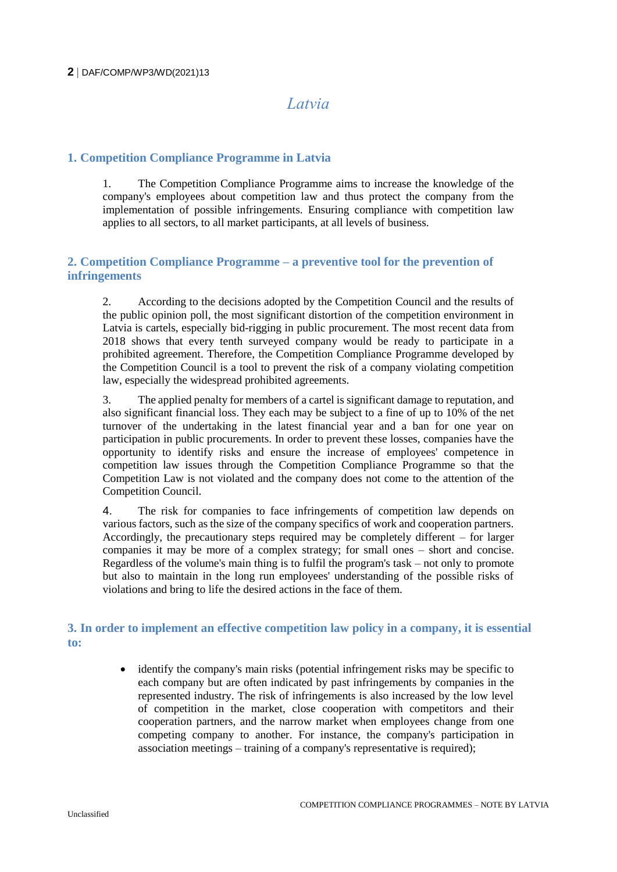# *Latvia*

## **1. Competition Compliance Programme in Latvia**

1. The Competition Compliance Programme aims to increase the knowledge of the company's employees about competition law and thus protect the company from the implementation of possible infringements. Ensuring compliance with competition law applies to all sectors, to all market participants, at all levels of business.

## **2. Competition Compliance Programme – a preventive tool for the prevention of infringements**

2. According to the decisions adopted by the Competition Council and the results of the public opinion poll, the most significant distortion of the competition environment in Latvia is cartels, especially bid-rigging in public procurement. The most recent data from 2018 shows that every tenth surveyed company would be ready to participate in a prohibited agreement. Therefore, the Competition Compliance Programme developed by the Competition Council is a tool to prevent the risk of a company violating competition law, especially the widespread prohibited agreements.

3. The applied penalty for members of a cartel is significant damage to reputation, and also significant financial loss. They each may be subject to a fine of up to 10% of the net turnover of the undertaking in the latest financial year and a ban for one year on participation in public procurements. In order to prevent these losses, companies have the opportunity to identify risks and ensure the increase of employees' competence in competition law issues through the Competition Compliance Programme so that the Competition Law is not violated and the company does not come to the attention of the Competition Council.

4. The risk for companies to face infringements of competition law depends on various factors, such as the size of the company specifics of work and cooperation partners. Accordingly, the precautionary steps required may be completely different – for larger companies it may be more of a complex strategy; for small ones – short and concise. Regardless of the volume's main thing is to fulfil the program's task – not only to promote but also to maintain in the long run employees' understanding of the possible risks of violations and bring to life the desired actions in the face of them.

## **3. In order to implement an effective competition law policy in a company, it is essential to:**

• identify the company's main risks (potential infringement risks may be specific to each company but are often indicated by past infringements by companies in the represented industry. The risk of infringements is also increased by the low level of competition in the market, close cooperation with competitors and their cooperation partners, and the narrow market when employees change from one competing company to another. For instance, the company's participation in association meetings – training of a company's representative is required);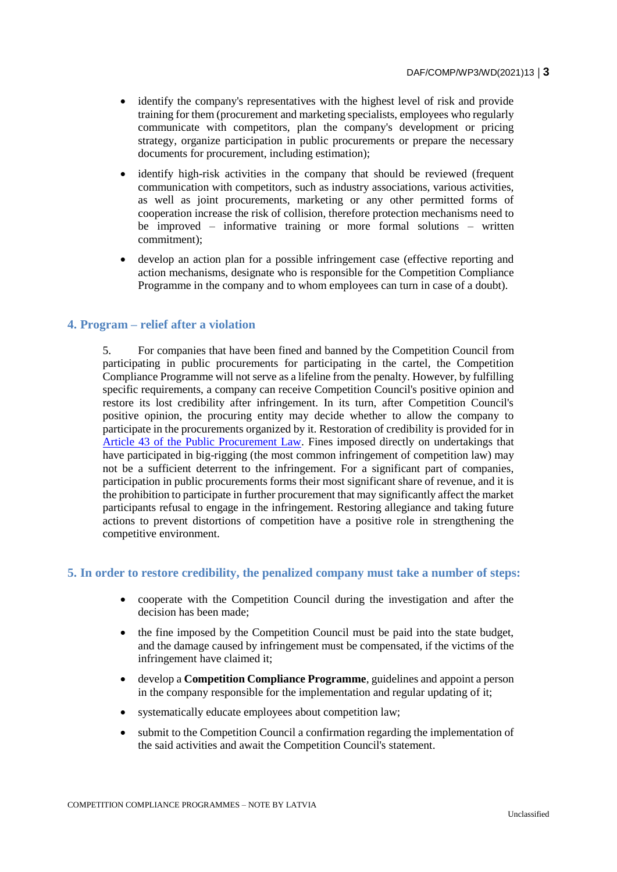- identify the company's representatives with the highest level of risk and provide training for them (procurement and marketing specialists, employees who regularly communicate with competitors, plan the company's development or pricing strategy, organize participation in public procurements or prepare the necessary documents for procurement, including estimation);
- identify high-risk activities in the company that should be reviewed (frequent communication with competitors, such as industry associations, various activities, as well as joint procurements, marketing or any other permitted forms of cooperation increase the risk of collision, therefore protection mechanisms need to be improved – informative training or more formal solutions – written commitment);
- develop an action plan for a possible infringement case (effective reporting and action mechanisms, designate who is responsible for the Competition Compliance Programme in the company and to whom employees can turn in case of a doubt).

#### **4. Program – relief after a violation**

5. For companies that have been fined and banned by the Competition Council from participating in public procurements for participating in the cartel, the Competition Compliance Programme will not serve as a lifeline from the penalty. However, by fulfilling specific requirements, a company can receive Competition Council's positive opinion and restore its lost credibility after infringement. In its turn, after Competition Council's positive opinion, the procuring entity may decide whether to allow the company to participate in the procurements organized by it. Restoration of credibility is provided for in [Article 43 of the Public Procurement Law.](https://likumi.lv/ta/en/en/id/287760-public-procurement-law) Fines imposed directly on undertakings that have participated in big-rigging (the most common infringement of competition law) may not be a sufficient deterrent to the infringement. For a significant part of companies, participation in public procurements forms their most significant share of revenue, and it is the prohibition to participate in further procurement that may significantly affect the market participants refusal to engage in the infringement. Restoring allegiance and taking future actions to prevent distortions of competition have a positive role in strengthening the competitive environment.

#### **5. In order to restore credibility, the penalized company must take a number of steps:**

- cooperate with the Competition Council during the investigation and after the decision has been made;
- the fine imposed by the Competition Council must be paid into the state budget, and the damage caused by infringement must be compensated, if the victims of the infringement have claimed it;
- develop a **Competition Compliance Programme**, guidelines and appoint a person in the company responsible for the implementation and regular updating of it;
- systematically educate employees about competition law;
- submit to the Competition Council a confirmation regarding the implementation of the said activities and await the Competition Council's statement.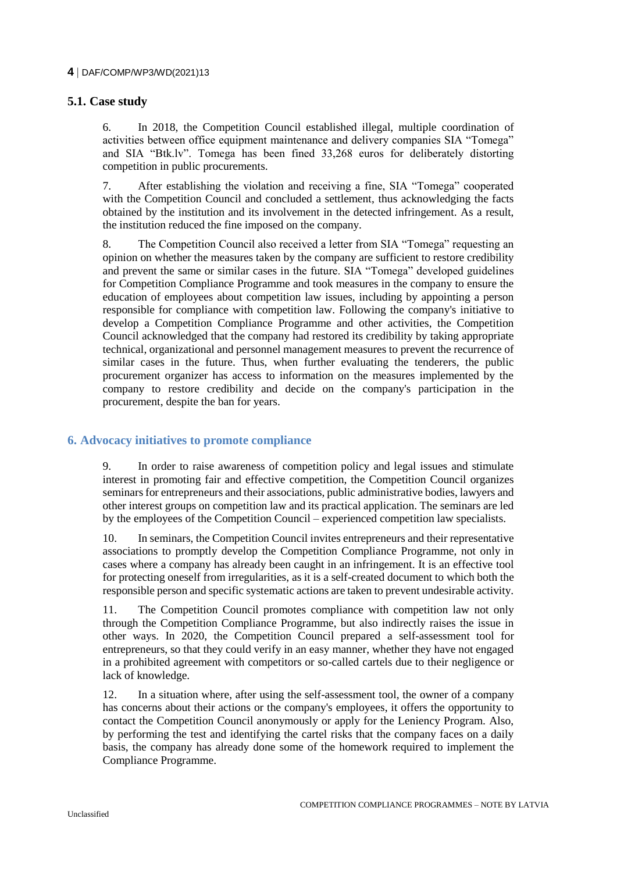#### **4** DAF/COMP/WP3/WD(2021)13

### **5.1. Case study**

6. In 2018, the Competition Council established illegal, multiple coordination of activities between office equipment maintenance and delivery companies SIA "Tomega" and SIA "Btk.lv". Tomega has been fined 33,268 euros for deliberately distorting competition in public procurements.

7. After establishing the violation and receiving a fine, SIA "Tomega" cooperated with the Competition Council and concluded a settlement, thus acknowledging the facts obtained by the institution and its involvement in the detected infringement. As a result, the institution reduced the fine imposed on the company.

8. The Competition Council also received a letter from SIA "Tomega" requesting an opinion on whether the measures taken by the company are sufficient to restore credibility and prevent the same or similar cases in the future. SIA "Tomega" developed guidelines for Competition Compliance Programme and took measures in the company to ensure the education of employees about competition law issues, including by appointing a person responsible for compliance with competition law. Following the company's initiative to develop a Competition Compliance Programme and other activities, the Competition Council acknowledged that the company had restored its credibility by taking appropriate technical, organizational and personnel management measures to prevent the recurrence of similar cases in the future. Thus, when further evaluating the tenderers, the public procurement organizer has access to information on the measures implemented by the company to restore credibility and decide on the company's participation in the procurement, despite the ban for years.

### **6. Advocacy initiatives to promote compliance**

9. In order to raise awareness of competition policy and legal issues and stimulate interest in promoting fair and effective competition, the Competition Council organizes seminars for entrepreneurs and their associations, public administrative bodies, lawyers and other interest groups on competition law and its practical application. The seminars are led by the employees of the Competition Council – experienced competition law specialists.

10. In seminars, the Competition Council invites entrepreneurs and their representative associations to promptly develop the Competition Compliance Programme, not only in cases where a company has already been caught in an infringement. It is an effective tool for protecting oneself from irregularities, as it is a self-created document to which both the responsible person and specific systematic actions are taken to prevent undesirable activity.

11. The Competition Council promotes compliance with competition law not only through the Competition Compliance Programme, but also indirectly raises the issue in other ways. In 2020, the Competition Council prepared [a self-assessment tool](https://ej.uz/parbaudiuznemumu) for entrepreneurs, so that they could verify in an easy manner, whether they have not engaged in a prohibited agreement with competitors or so-called cartels due to their negligence or lack of knowledge.

12. In a situation where, after using the self-assessment tool, the owner of a company has concerns about their actions or the company's employees, it offers the opportunity to contact the Competition Council anonymously or apply for the Leniency Program. Also, by performing the test and identifying the cartel risks that the company faces on a daily basis, the company has already done some of the homework required to implement the Compliance Programme.